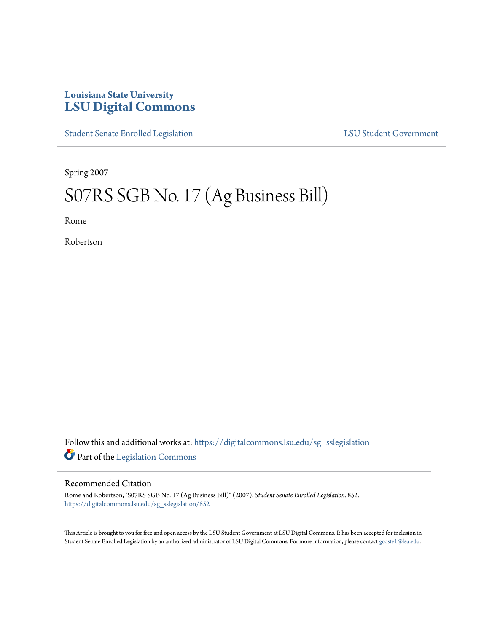## **Louisiana State University [LSU Digital Commons](https://digitalcommons.lsu.edu?utm_source=digitalcommons.lsu.edu%2Fsg_sslegislation%2F852&utm_medium=PDF&utm_campaign=PDFCoverPages)**

[Student Senate Enrolled Legislation](https://digitalcommons.lsu.edu/sg_sslegislation?utm_source=digitalcommons.lsu.edu%2Fsg_sslegislation%2F852&utm_medium=PDF&utm_campaign=PDFCoverPages) [LSU Student Government](https://digitalcommons.lsu.edu/sg?utm_source=digitalcommons.lsu.edu%2Fsg_sslegislation%2F852&utm_medium=PDF&utm_campaign=PDFCoverPages)

Spring 2007

## S07RS SGB No. 17 (Ag Business Bill)

Rome

Robertson

Follow this and additional works at: [https://digitalcommons.lsu.edu/sg\\_sslegislation](https://digitalcommons.lsu.edu/sg_sslegislation?utm_source=digitalcommons.lsu.edu%2Fsg_sslegislation%2F852&utm_medium=PDF&utm_campaign=PDFCoverPages) Part of the [Legislation Commons](http://network.bepress.com/hgg/discipline/859?utm_source=digitalcommons.lsu.edu%2Fsg_sslegislation%2F852&utm_medium=PDF&utm_campaign=PDFCoverPages)

## Recommended Citation

Rome and Robertson, "S07RS SGB No. 17 (Ag Business Bill)" (2007). *Student Senate Enrolled Legislation*. 852. [https://digitalcommons.lsu.edu/sg\\_sslegislation/852](https://digitalcommons.lsu.edu/sg_sslegislation/852?utm_source=digitalcommons.lsu.edu%2Fsg_sslegislation%2F852&utm_medium=PDF&utm_campaign=PDFCoverPages)

This Article is brought to you for free and open access by the LSU Student Government at LSU Digital Commons. It has been accepted for inclusion in Student Senate Enrolled Legislation by an authorized administrator of LSU Digital Commons. For more information, please contact [gcoste1@lsu.edu.](mailto:gcoste1@lsu.edu)